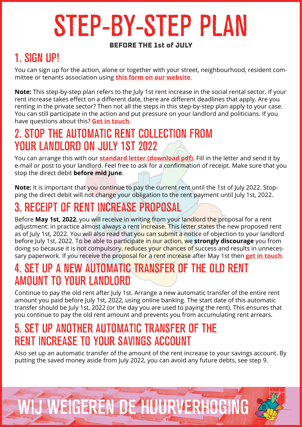# STEP-BY-STEP PLAN

#### BEFORE THE 1st of JULY

#### 1. SIGN UP!

You can sign up for the action, alone or together with your street, neighbourhood, resident committee or tenants association using **[this form on our website](https://wijweigerendehuurverhoging.nl/en/#meldjeaan)**.

**Note:** This step-by-step plan refers to the July 1st rent increase in the social rental sector. If your rent increase takes effect on a different date, there are different deadlines that apply. Are you renting in the private sector? Then not all the steps in this step-by-step plan apply to your case. You can still participate in the action and put pressure on your landlord and politicians. If you have questions about this? **[Get in touch](mailto:info@wijweigerendehuurverhoging.nl)**.

#### 2. STOP THE AUTOMATIC RENT COLLECTION FROM YOUR LANDLORD ON JULY 1ST 2022

You can arrange this with our **[standard letter \(download pdf\)](https://wijweigerendehuurverhoging.nl/Wordpress/wp-content/uploads/2022/04/Intrekking-Automatische-Incasso.pdf)**. Fill in the letter and send it by e-mail or post to your landlord. Feel free to ask for a confirmation of receipt. Make sure that you stop the direct debit **before mid June**.

**Note:** It is important that you continue to pay the current rent until the 1st of July 2022. Stopping the direct debit will not change your obligation to the rent payment until July 1st, 2022.

#### 3. RECEIPT OF RENT INCREASE PROPOSAL

Before **May 1st, 2022**, you will receive in writing from your landlord the proposal for a rent adjustment: in practice almost always a rent increase. This letter states the new proposed rent as of July 1st, 2022. You will also read that you can submit a notice of objection to your landlord before July 1st, 2022. To be able to participate in our action, we **strongly discourage** you from doing so because it is not compulsory, reduces your chances of success and results in unnecessary paperwork. If you receive the proposal for a rent increase after May 1st then **[get in touch](mailto:info@wijweigerendehuurverhoging.nl)**.

#### 4. SET UP A NEW AUTOMATIC TRANSFER OF THE OLD RENT AMOUNT TO YOUR LANDLORD

Continue to pay the old rent after July 1st. Arrange a new automatic transfer of the entire rent amount you paid before July 1st, 2022, using online banking. The start date of this automatic transfer should be July 1st, 2022 (or the day you are used to paying the rent). This ensures that you continue to pay the old rent amount and prevents you from accumulating rent arrears.

#### 5. SET UP ANOTHER AUTOMATIC TRANSFER OF THE RENT INCREASE TO YOUR SAVINGS ACCOUNT

Also set up an automatic transfer of the amount of the rent increase to your savings account. By putting the saved money aside from July 2022, you can avoid any future debts, see step 9.

## WIJ WEIGEREN DE HUURVERHOGING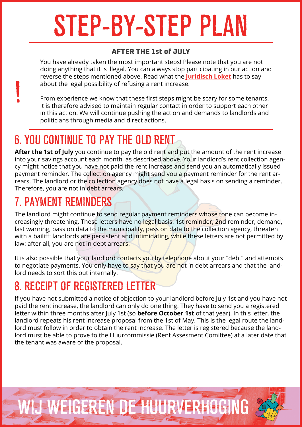# STEP-BY-STEP PLAN

#### AFTER THE 1st of JULY

You have already taken the most important steps! Please note that you are not doing anything that it is illegal. You can always stop participating in our action and reverse the steps mentioned above. Read what the **[Juridisch Loket](https://www.juridischloket.nl/wonen-en-buren/huurwoning/bezwaar-huurverhoging/#hoe-maak-ik-bezwaar-tegen-de-huurverhoging)** has to say about the legal possibility of refusing a rent increase.

From experience we know that these first steps might be scary for some tenants. It is therefore advised to maintain regular contact in order to support each other in this action. We will continue pushing the action and demands to landlords and politicians through media and direct actions.

#### 6. YOU CONTINUE TO PAY THE OLD RENT

**After the 1st of July** you continue to pay the old rent and put the amount of the rent increase into your savings account each month, as described above. Your landlord's rent collection agency might notice that you have not paid the rent increase and send you an automatically issued payment reminder. The collection agency might send you a payment reminder for the rent arrears. The landlord or the collection agency does not have a legal basis on sending a reminder. Therefore, you are not in debt arrears.

#### 7. PAYMENT REMINDERS

!

The landlord might continue to send regular payment reminders whose tone can become increasingly threatening. These letters have no legal basis. 1st reminder, 2nd reminder, demand, last warning, pass on data to the municipality, pass on data to the collection agency, threaten with a bailiff: landlords are persistent and intimidating, while these letters are not permitted by law: after all, you are not in debt arrears.

It is also possible that your landlord contacts you by telephone about your "debt" and attempts to negotiate payments. You only have to say that you are not in debt arrears and that the landlord needs to sort this out internally.

### 8. RECEIPT OF REGISTERED LETTER

If you have not submitted a notice of objection to your landlord before July 1st and you have not paid the rent increase, the landlord can only do one thing. They have to send you a registered letter within three months after July 1st (so **before October 1st** of that year). In this letter, the landlord repeats his rent increase proposal from the 1st of May. This is the legal route the landlord must follow in order to obtain the rent increase. The letter is registered because the landlord must be able to prove to the Huurcommissie (Rent Assesment Comittee) at a later date that the tenant was aware of the proposal.

## WIJ WEIGEREN DE HUURVERHOGING